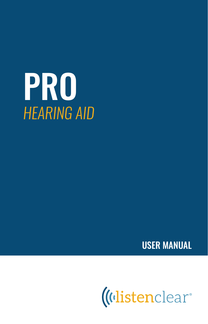



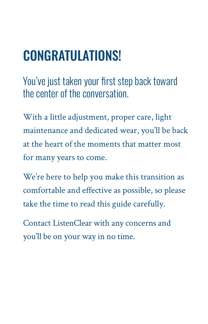# CONGRATULATIONS!

*You've just taken your first step back toward the center of the conversation.*

With a little adjustment, proper care, light maintenance and dedicated wear, you'll be back at the heart of the moments that matter most for many years to come.

We're here to help you make this transition as comfortable and effective as possible, so please take the time to read this guide carefully.

Contact ListenClear with any concerns and you'll be on your way in no time.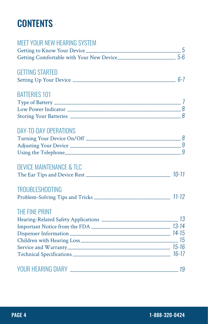# **CONTENTS**

| <b>MEET YOUR NEW HEARING SYSTEM</b>                                        |   |
|----------------------------------------------------------------------------|---|
|                                                                            |   |
|                                                                            |   |
| <b>GETTING STARTED</b>                                                     |   |
|                                                                            |   |
| <b>BATTERIES 101</b>                                                       |   |
|                                                                            |   |
|                                                                            |   |
|                                                                            |   |
| <b>DAY-TO-DAY OPERATIONS</b>                                               |   |
|                                                                            |   |
|                                                                            |   |
|                                                                            | 9 |
| DEVICE MAINTENANCE & TLC                                                   |   |
|                                                                            |   |
| <b>TROUBLESHOOTING</b>                                                     |   |
|                                                                            |   |
| THE FINE PRINT                                                             |   |
| Hearing-Related Safety Applications ___________________________________ 13 |   |
|                                                                            |   |
|                                                                            |   |
|                                                                            |   |
|                                                                            |   |
|                                                                            |   |
|                                                                            |   |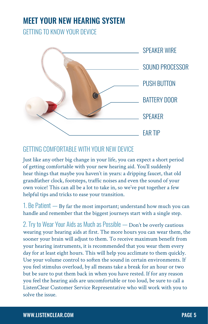# MEET YOUR NEW HEARING SYSTEM

*GETTING TO KNOW YOUR DEVICE*



# *GETTING COMFORTABLE WITH YOUR NEW DEVICE*

Just like any other big change in your life, you can expect a short period of getting comfortable with your new hearing aid. You'll suddenly hear things that maybe you haven't in years: a dripping faucet, that old grandfather clock, footsteps, traffic noises and even the sound of your own voice! This can all be a lot to take in, so we've put together a few helpful tips and tricks to ease your transition.

*1. Be Patient —* By far the most important; understand how much you can handle and remember that the biggest journeys start with a single step.

*2. Try to Wear Your Aids as Much as Possible —* Don't be overly cautious wearing your hearing aids at first. The more hours you can wear them, the sooner your brain will adjust to them. To receive maximum benefit from your hearing instruments, it is recommended that you wear them every day for at least eight hours. This will help you acclimate to them quickly. Use your volume control to soften the sound in certain environments. If you feel stimulus overload, by all means take a break for an hour or two but be sure to put them back in when you have rested. If for any reason you feel the hearing aids are uncomfortable or too loud, be sure to call a ListenClear Customer Service Representative who will work with you to solve the issue.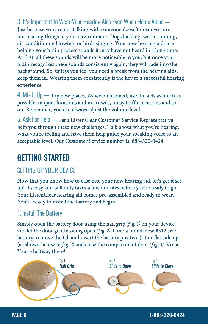*3. It's Important to Wear Your Hearing Aids Even When Home Alone —*  Just because you are not talking with someone doesn't mean you are not hearing things in your environment. Dogs barking, water running, air-conditioning blowing, or birds singing. Your new hearing aids are helping your brain process sounds it may have not heard in a long time. At first, all these sounds will be more noticeable to you, but once your brain recognizes these sounds consistently again, they will fade into the background. So, unless you feel you need a break from the hearing aids, keep them in. Wearing them consistently is the key to a successful hearing experience.

*4. Mix It Up —* Try new places. As we mentioned, use the aids as much as possible, in quiet locations and in crowds, noisy traffic locations and so on. Remember, you can always adjust the volume level.

*5. Ask For Help —* Let a ListenClear Customer Service Representative help you through these new challenges. Talk about what you're hearing, what you're feeling and have them help guide your speaking voice to an acceptable level. Our Customer Service number is: 888-320-0424.

# GETTING STARTED

# *SETTING UP YOUR DEVICE*

Now that you know how to ease into your new hearing aid, let's get it set up! It's easy and will only takes a few minutes before you're ready to go. Your ListenClear hearing aid comes pre-assembled and ready to wear. You're ready to install the battery and begin!

# *1. Install The Battery*

Simply open the battery door using the nail grip *(fig. 1)* on your device and let the door gently swing open *(fig. 2)*. Grab a brand-new #312 size battery, remove the tab and insert the battery positive (+) or flat side up (as shown below in *fig. 2*) and close the compartment door *(fig. 3)*. Voila! You're halfway there!

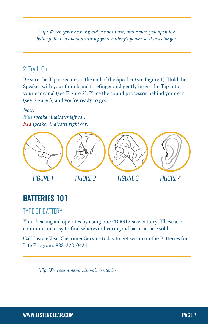*Tip: When your hearing aid is not in use, make sure you open the battery door to avoid draining your battery's power so it lasts longer.* 

# *2. Try It On*

Be sure the Tip is secure on the end of the Speaker (see Figure 1). Hold the Speaker with your thumb and forefinger and gently insert the Tip into your ear canal (see Figure 2). Place the sound processor behind your ear (see Figure 3) and you're ready to go.

#### *Note:*

*Blue speaker indicates left ear. Red speaker indicates right ear.*



# BATTERIES 101

# *TYPE OF BATTERY*

Your hearing aid operates by using one (1) #312 size battery. These are common and easy to find wherever hearing aid batteries are sold.

Call ListenClear Customer Service today to get set up on the Batteries for Life Program. 888-320-0424.

*Tip: We recommend zinc-air batteries.*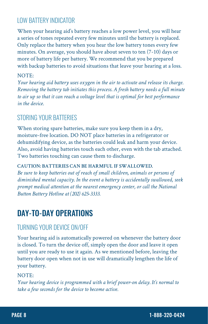# *LOW BATTERY INDICATOR*

When your hearing aid's battery reaches a low power level, you will hear a series of tones repeated every few minutes until the battery is replaced. Only replace the battery when you hear the low battery tones every few minutes. On average, you should have about seven to ten (7-10) days or more of battery life per battery. We recommend that you be prepared with backup batteries to avoid situations that leave your hearing at a loss.

#### NOTE:

*Your hearing aid battery uses oxygen in the air to activate and release its charge. Removing the battery tab initiates this process. A fresh battery needs a full minute to air up so that it can reach a voltage level that is optimal for best performance in the device.*

### *STORING YOUR BATTERIES*

When storing spare batteries, make sure you keep them in a dry, moisture-free location. DO NOT place batteries in a refrigerator or dehumidifying device, as the batteries could leak and harm your device. Also, avoid having batteries touch each other, even with the tab attached. Two batteries touching can cause them to discharge.

#### **CAUTION: BATTERIES CAN BE HARMFUL IF SWALLOWED.**

*Be sure to keep batteries out of reach of small children, animals or persons of diminished mental capacity. In the event a battery is accidentally swallowed, seek prompt medical attention at the nearest emergency center, or call the National Button Battery Hotline at (202) 625-3333.*

# DAY-TO-DAY OPERATIONS

### *TURNING YOUR DEVICE ON/OFF*

Your hearing aid is automatically powered on whenever the battery door is closed. To turn the device off, simply open the door and leave it open until you are ready to use it again. As we mentioned before, leaving the battery door open when not in use will dramatically lengthen the life of your battery.

#### NOTE:

*Your hearing device is programmed with a brief power-on delay. It's normal to take a few seconds for the device to become active.*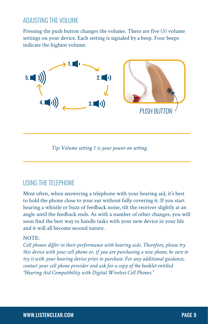# *ADJUSTING THE VOLUME*

Pressing the push button changes the volume. There are five (5) volume settings on your device. Each setting is signaled by a beep. Four beeps indicate the highest volume.



*Tip: Volume setting 1 is your power-on setting.*

# *USING THE TELEPHONE*

Most often, when answering a telephone with your hearing aid, it's best to hold the phone close to your ear without fully covering it. If you start hearing a whistle or buzz of feedback noise, tilt the receiver slightly at an angle until the feedback ends. As with a number of other changes, you will soon find the best way to handle tasks with your new device in your life and it will all become second nature.

#### NOTE:

*Cell phones differ in their performance with hearing aids. Therefore, please try this device with your cell phone or, if you are purchasing a new phone, be sure to try it with your hearing device prior to purchase. For any additional guidance, contact your cell phone provider and ask for a copy of the booklet entitled "Hearing Aid Compatibility with Digital Wireless Cell Phones."*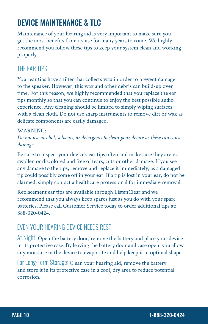# DEVICE MAINTENANCE & TLC

Maintenance of your hearing aid is very important to make sure you get the most benefits from its use for many years to come. We highly recommend you follow these tips to keep your system clean and working properly.

# *THE EAR TIPS*

Your ear tips have a filter that collects wax in order to prevent damage to the speaker. However, this wax and other debris can build-up over time. For this reason, we highly recommended that you replace the ear tips monthly so that you can continue to enjoy the best possible audio experience. Any cleaning should be limited to simply wiping surfaces with a clean cloth. Do not use sharp instruments to remove dirt or wax as delicate components are easily damaged.

#### WARNING:

*Do not use alcohol, solvents, or detergents to clean your device as these can cause damage.*

Be sure to inspect your device's ear tips often and make sure they are not swollen or discolored and free of tears, cuts or other damage. If you see any damage to the tips, remove and replace it immediately, as a damaged tip could possibly come off in your ear. If a tip is lost in your ear, do not be alarmed, simply contact a healthcare professional for immediate removal.

Replacement ear tips are available through ListenClear and we recommend that you always keep spares just as you do with your spare batteries. Please call Customer Service today to order additional tips at: 888-320-0424.

# *EVEN YOUR HEARING DEVICE NEEDS REST*

*At Night:* Open the battery door, remove the battery and place your device in its protective case. By leaving the battery door and case open, you allow any moisture in the device to evaporate and help keep it in optimal shape.

*For Long-Term Storage:* Clean your hearing aid, remove the battery and store it in its protective case in a cool, dry area to reduce potential corrosion.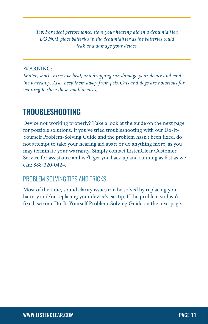*Tip: For ideal performance, store your hearing aid in a dehumidifier. DO NOT place batteries in the dehumidifier as the batteries could leak and damage your device.*

#### WARNING:

*Water, shock, excessive heat, and dropping can damage your device and void the warranty. Also, keep them away from pets. Cats and dogs are notorious for wanting to chew these small devices.*

# TROUBLESHOOTING

Device not working properly? Take a look at the guide on the next page for possible solutions. If you've tried troubleshooting with our Do-It-Yourself Problem-Solving Guide and the problem hasn't been fixed, do not attempt to take your hearing aid apart or do anything more, as you may terminate your warranty. Simply contact ListenClear Customer Service for assistance and we'll get you back up and running as fast as we can: 888-320-0424.

# *PROBLEM SOLVING TIPS AND TRICKS*

Most of the time, sound clarity issues can be solved by replacing your battery and/or replacing your device's ear tip. If the problem still isn't fixed, see our Do-It-Yourself Problem-Solving Guide on the next page.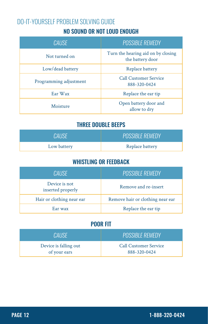# NO SOUND OR NOT LOUD ENOUGH *DO-IT-YOURSELF PROBLEM SOLVING GUIDE*

| <b>CAUSE</b>           | <b>POSSIBLE REMEDY</b>                                 |  |
|------------------------|--------------------------------------------------------|--|
| Not turned on          | Turn the hearing aid on by closing<br>the battery door |  |
| Low/dead battery       | Replace battery                                        |  |
| Programming adjustment | <b>Call Customer Service</b><br>888-320-0424           |  |
| Ear Wax                | Replace the ear tip                                    |  |
| Moisture               | Open battery door and<br>allow to dry                  |  |

# THREE DOUBLE BEEPS

| CALISE      | <b>POSSIBLE REMEDY</b> |  |
|-------------|------------------------|--|
| Low battery | Replace battery        |  |

### WHISTLING OR FEEDBACK

| CAUSE                              | <b>POSSIBLE REMEDY</b>           |  |
|------------------------------------|----------------------------------|--|
| Device is not<br>inserted properly | Remove and re-insert             |  |
| Hair or clothing near ear          | Remove hair or clothing near ear |  |
| Ear wax                            | Replace the ear tip              |  |

# POOR FIT

| <b>CALISE</b>         | <b>POSSIBLE REMEDY</b>       |  |
|-----------------------|------------------------------|--|
| Device is falling out | <b>Call Customer Service</b> |  |
| of your ears          | 888-320-0424                 |  |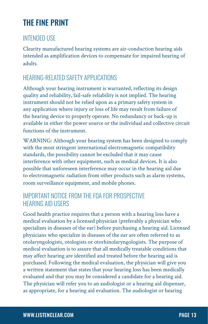# THE FINE PRINT

# *INTENDED USE*

Clearity manufactured hearing systems are air-conduction hearing aids intended as amplification devices to compensate for impaired hearing of adults.

# *HEARING-RELATED SAFETY APPLICATIONS*

Although your hearing instrument is warranted, reflecting its design quality and reliability, fail-safe reliability is not implied. The hearing instrument should not be relied upon as a primary safety system in any application where injury or loss of life may result from failure of the hearing device to properly operate. No redundancy or back-up is available in either the power source or the individual and collective circuit functions of the instrument.

WARNING: Although your hearing system has been designed to comply with the most stringent international electromagnetic compatibility standards, the possibility cannot be excluded that it may cause interference with other equipment, such as medical devices. It is also possible that unforeseen interference may occur in the hearing aid due to electromagnetic radiation from other products such as alarm systems, room surveillance equipment, and mobile phones.

### *IMPORTANT NOTICE FROM THE FDA FOR PROSPECTIVE HEARING AID USERS*

Good health practice requires that a person with a hearing loss have a medical evaluation by a licensed physician (preferably a physician who specializes in diseases of the ear) before purchasing a hearing aid. Licensed physicians who specialize in diseases of the ear are often referred to as otolaryngologists, otologists or otorhinolaryngologists. The purpose of medical evaluation is to assure that all medically treatable conditions that may affect hearing are identified and treated before the hearing aid is purchased. Following the medical evaluation, the physician will give you a written statement that states that your hearing loss has been medically evaluated and that you may be considered a candidate for a hearing aid. The physician will refer you to an audiologist or a hearing aid dispenser, as appropriate, for a hearing aid evaluation. The audiologist or hearing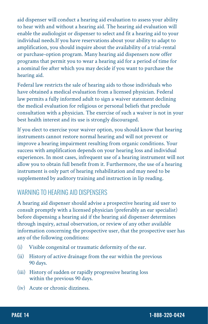aid dispenser will conduct a hearing aid evaluation to assess your ability to hear with and without a hearing aid. The hearing aid evaluation will enable the audiologist or dispenser to select and fit a hearing aid to your individual needs.If you have reservations about your ability to adapt to amplification, you should inquire about the availability of a trial-rental or purchase-option program. Many hearing aid dispensers now offer programs that permit you to wear a hearing aid for a period of time for a nominal fee after which you may decide if you want to purchase the hearing aid.

Federal law restricts the sale of hearing aids to those individuals who have obtained a medical evaluation from a licensed physician. Federal law permits a fully informed adult to sign a waiver statement declining the medical evaluation for religious or personal beliefs that preclude consultation with a physician. The exercise of such a waiver is not in your best health interest and its use is strongly discouraged.

If you elect to exercise your waiver option, you should know that hearing instruments cannot restore normal hearing and will not prevent or improve a hearing impairment resulting from organic conditions. Your success with amplification depends on your hearing loss and individual experiences. In most cases, infrequent use of a hearing instrument will not allow you to obtain full benefit from it. Furthermore, the use of a hearing instrument is only part of hearing rehabilitation and may need to be supplemented by auditory training and instruction in lip reading.

### *WARNING TO HEARING AID DISPENSERS*

A hearing aid dispenser should advise a prospective hearing aid user to consult promptly with a licensed physician (preferably an ear specialist) before dispensing a hearing aid if the hearing aid dispenser determines through inquiry, actual observation, or review of any other available information concerning the prospective user, that the prospective user has any of the following conditions:

- (i) Visible congenital or traumatic deformity of the ear.
- (ii) History of active drainage from the ear within the previous 90 days.
- (iii) History of sudden or rapidly progressive hearing loss within the previous 90 days.
- (iv) Acute or chronic dizziness.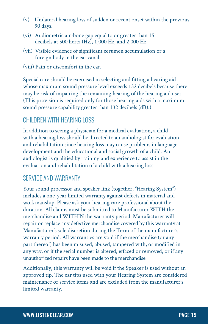- (v) Unilateral hearing loss of sudden or recent onset within the previous 90 days.
- (vi) Audiometric air-bone gap equal to or greater than 15 decibels at 500 hertz (Hz), 1,000 Hz, and 2,000 Hz.
- (vii) Visible evidence of significant cerumen accumulation or a foreign body in the ear canal.
- (viii) Pain or discomfort in the ear.

Special care should be exercised in selecting and fitting a hearing aid whose maximum sound pressure level exceeds 132 decibels because there may be risk of impairing the remaining hearing of the hearing aid user. (This provision is required only for those hearing aids with a maximum sound pressure capability greater than 132 decibels (dB).)

# *CHILDREN WITH HEARING LOSS*

In addition to seeing a physician for a medical evaluation, a child with a hearing loss should be directed to an audiologist for evaluation and rehabilitation since hearing loss may cause problems in language development and the educational and social growth of a child. An audiologist is qualified by training and experience to assist in the evaluation and rehabilitation of a child with a hearing loss.

# *SERVICE AND WARRANTY*

Your sound processor and speaker link (together, "Hearing System") includes a one-year limited warranty against defects in material and workmanship. Please ask your hearing care professional about the duration. All claims must be submitted to Manufacturer WITH the merchandise and WITHIN the warranty period. Manufacturer will repair or replace any defective merchandise covered by this warranty at Manufacturer's sole discretion during the Term of the manufacturer's warranty period. All warranties are void if the merchandise (or any part thereof) has been misused, abused, tampered with, or modified in any way, or if the serial number is altered, effaced or removed, or if any unauthorized repairs have been made to the merchandise.

Additionally, this warranty will be void if the Speaker is used without an approved tip. The ear tips used with your Hearing System are considered maintenance or service items and are excluded from the manufacturer's limited warranty.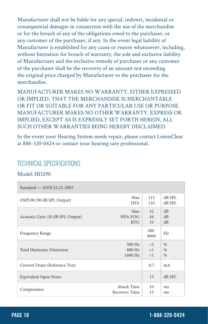Manufacturer shall not be liable for any special, indirect, incidental or consequential damages in connection with the use of the merchandise or for the breach of any of the obligations owed to the purchaser, or any customer of the purchaser, if any. In the event legal liability of Manufacturer is established for any cause or reason whatsoever, including, without limitation for breach of warranty, the sole and exclusive liability of Manufacturer and the exclusive remedy of purchaser or any customer of the purchaser shall be the recovery of an amount not exceeding the original price charged by Manufacturer to the purchaser for the merchandise.

MANUFACTURER MAKES NO WARRANTY, EITHER EXPRESSED OR IMPLIED, THAT THE MERCHANDISE IS MERCHANTABLE OR FIT OR SUITABLE FOR ANY PARTICULAR USE OR PURPOSE. MANUFACTURER MAKES NO OTHER WARRANTY, EXPRESS OR IMPLIED, EXCEPT AS IS EXPRESSLY SET FORTH HEREIN, ALL SUCH OTHER WARRANTIES BEING HEREBY DISCLAIMED.

In the event your Hearing System needs repair, please contact ListenClear at 888-320-0424 or contact your hearing care professional.

### *TECHNICAL SPECIFICATIONS*

#### Model: HD290

| Standard $-$ ANSI S3.22-2003     |                    |                 |        |
|----------------------------------|--------------------|-----------------|--------|
| OSPL90 (90 dB SPL Output)        | Max                | 115             | dB SPL |
|                                  | <b>HFA</b>         | 110             | dB SPL |
| Acoustic Gain (50 dB SPL Output) | Max                | 52              | dB     |
|                                  | HFA-FOG            | 44              | dB     |
|                                  | <b>RTG</b>         | 33              | dB     |
| Frequency Range                  |                    | $200 -$<br>8000 | Hz     |
| <b>Total Harmonic Distortion</b> | $500$ Hz           | $\leq$ 1        | %      |
|                                  | $800$ Hz           | <1              | %      |
|                                  | 1600 Hz            | <1              | %      |
| Current Drain (Reference Test)   |                    | 0.7             | mA     |
| <b>Equivalent Input Noise</b>    |                    | 13              | dB SPL |
| Compression                      | <b>Attack Time</b> | 10              | ms     |
|                                  | Recovery Time      | 15              | ms     |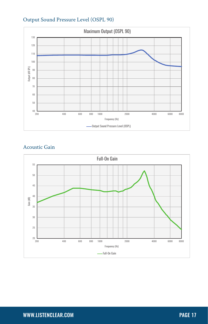

#### Output Sound Pressure Level (OSPL 90)

#### Acoustic Gain

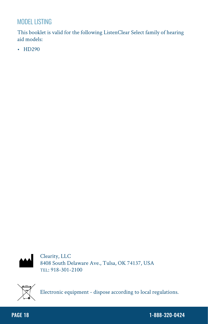# *MODEL LISTING*

This booklet is valid for the following ListenClear Select family of hearing aid models:

• HD290



Clearity, LLC 8408 South Delaware Ave., Tulsa, OK 74137, USA TEL: 918-301-2100



Electronic equipment - dispose according to local regulations.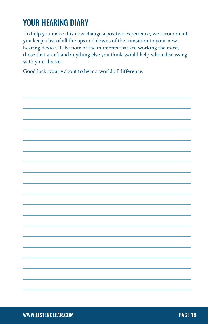# YOUR HEARING DIARY

To help you make this new change a positive experience, we recommend you keep a list of all the ups and downs of the transition to your new hearing device. Take note of the moments that are working the most, those that aren't and anything else you think would help when discussing with your doctor.

Good luck, you're about to hear a world of difference.